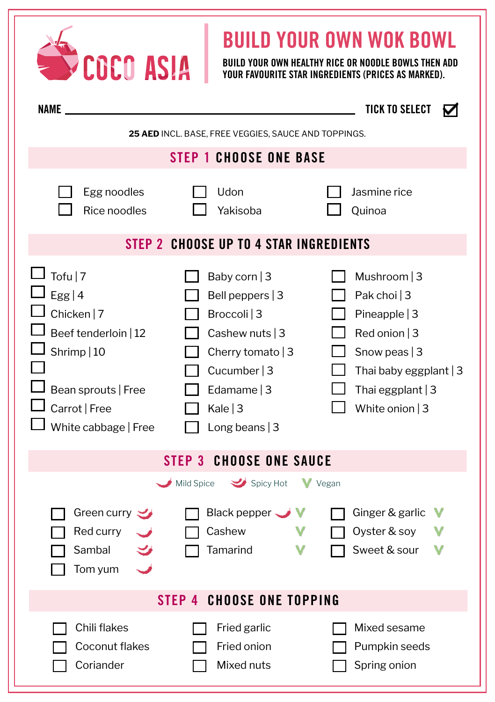| BUILD YOUR OWN WOK BOWL<br>COCO ASIA<br>BUILD YOUR OWN HEALTHY RICE OR NOODLE BOWLS THEN ADD<br><b>YOUR FAVOURITE STAR INGREDIENTS (PRICES AS MARKED).</b> |                                                                                                                                                                  |                                                                                                                                                        |  |  |
|------------------------------------------------------------------------------------------------------------------------------------------------------------|------------------------------------------------------------------------------------------------------------------------------------------------------------------|--------------------------------------------------------------------------------------------------------------------------------------------------------|--|--|
| <b>NAME</b>                                                                                                                                                |                                                                                                                                                                  | <b>TICK TO SELECT</b>                                                                                                                                  |  |  |
| 25 AED INCL. BASE, FREE VEGGIES, SAUCE AND TOPPINGS.<br><b>STEP 1 CHOOSE ONE BASE</b>                                                                      |                                                                                                                                                                  |                                                                                                                                                        |  |  |
| Egg noodles<br>Rice noodles                                                                                                                                | Udon<br>Yakisoba                                                                                                                                                 | Jasmine rice<br>Quinoa                                                                                                                                 |  |  |
| STEP 2 CHOOSE UP TO 4 STAR INGREDIENTS                                                                                                                     |                                                                                                                                                                  |                                                                                                                                                        |  |  |
| Tofu   $7$<br>Egg   $4$<br>Chicken   7<br>Beef tenderloin   12<br>Shrimp   10<br>Bean sprouts   Free<br>Carrot   Free<br>White cabbage   Free              | Baby corn $ 3$<br>Bell peppers $ 3 $<br>Broccoli   3<br>Cashew nuts   3<br>Cherry tomato $ 3 $<br>Cucumber $ 3 $<br>Edamame $ 3 $<br>Kale $ 3$<br>Long beans   3 | Mushroom   3<br>Pak choi   3<br>Pineapple $ 3$<br>Red onion $ 3$<br>Snow peas $ 3$<br>Thai baby eggplant   3<br>Thai eggplant $ 3$<br>White onion $ 3$ |  |  |
| <b>STEP 3 CHOOSE ONE SAUCE</b>                                                                                                                             |                                                                                                                                                                  |                                                                                                                                                        |  |  |
| Green curry<br>Red curry<br>Sambal<br>Tom yum                                                                                                              | Spicy Hot Vegan<br>Mild Spice<br>Black pepper $\rightarrow$<br>Cashew<br>Tamarind                                                                                | Ginger & garlic<br>Oyster & soy<br>Sweet & sour                                                                                                        |  |  |
| <b>STEP 4 CHOOSE ONE TOPPING</b>                                                                                                                           |                                                                                                                                                                  |                                                                                                                                                        |  |  |
| Chili flakes<br>Coconut flakes<br>Coriander                                                                                                                | Fried garlic<br>Fried onion<br>Mixed nuts                                                                                                                        | Mixed sesame<br>Pumpkin seeds<br>Spring onion                                                                                                          |  |  |